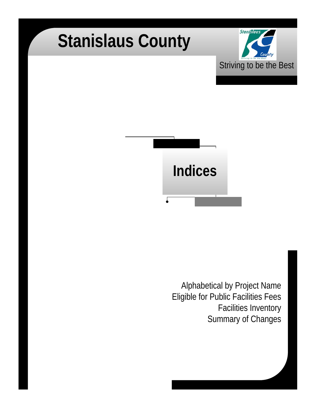



Alphabetical by Project Name Eligible for Public Facilities Fees Facilities Inventory Summary of Changes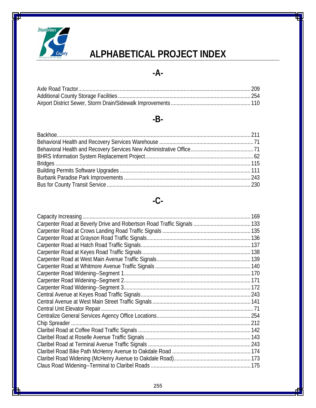

# **ALPHABETICAL PROJECT INDEX**

## **-A-**

## **-B-**

### **-C-**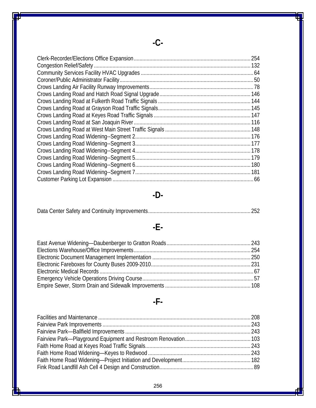| 254 |
|-----|
|     |
|     |
|     |
|     |
|     |
|     |
|     |
|     |
|     |
|     |
|     |
|     |
|     |
|     |
|     |
|     |
|     |

**-C-**

# **-D-**

|--|--|

## **-E-**

## **-F-**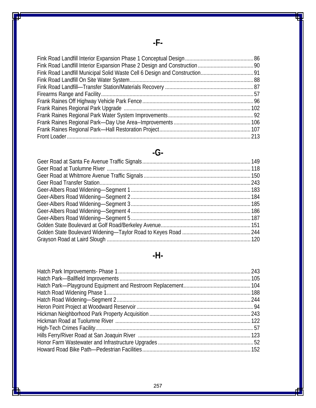## **-G-**

## **-H-**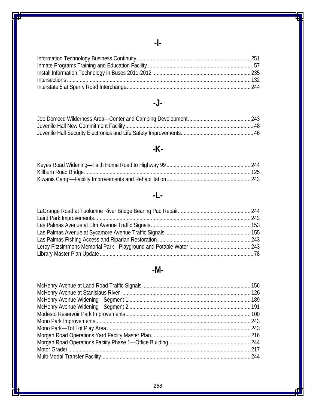## **-J-**

# **-K-**

## **-L-**

## **-M-**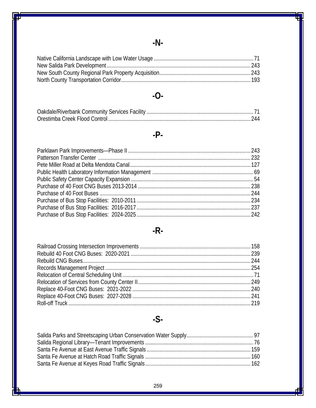# $-N-$

# $-**O**$

## $-P-$

# $-R-$

# $-S-$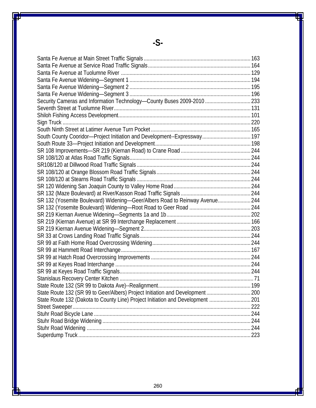| Security Cameras and Information Technology-County Buses 2009-2010  233        |  |
|--------------------------------------------------------------------------------|--|
|                                                                                |  |
|                                                                                |  |
|                                                                                |  |
|                                                                                |  |
| South County Cooridor-Project Initiation and Development--Expressway 197       |  |
|                                                                                |  |
|                                                                                |  |
|                                                                                |  |
|                                                                                |  |
|                                                                                |  |
|                                                                                |  |
|                                                                                |  |
|                                                                                |  |
| SR 132 (Yosemite Boulevard) Widening-Geer/Albers Road to Reinway Avenue 244    |  |
|                                                                                |  |
|                                                                                |  |
|                                                                                |  |
|                                                                                |  |
|                                                                                |  |
|                                                                                |  |
|                                                                                |  |
|                                                                                |  |
|                                                                                |  |
|                                                                                |  |
|                                                                                |  |
|                                                                                |  |
| State Route 132 (SR 99 to Geer/Albers) Project Initiation and Development 200  |  |
| State Route 132 (Dakota to County Line) Project Initiation and Development 201 |  |
|                                                                                |  |
|                                                                                |  |
|                                                                                |  |
|                                                                                |  |
|                                                                                |  |

# **-S-**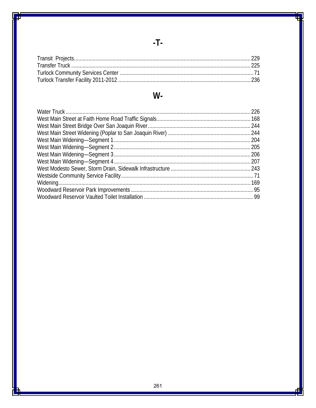## $-T<sub>z</sub>$

## $W -$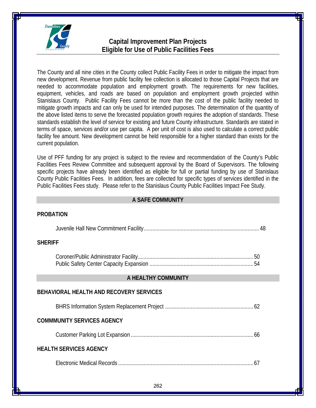

**PROBATION** 

### **Capital Improvement Plan Projects Eligible for Use of Public Facilities Fees**

The County and all nine cities in the County collect Public Facility Fees in order to mitigate the impact from new development. Revenue from public facility fee collection is allocated to those Capital Projects that are needed to accommodate population and employment growth. The requirements for new facilities, equipment, vehicles, and roads are based on population and employment growth projected within Stanislaus County. Public Facility Fees cannot be more than the cost of the public facility needed to mitigate growth impacts and can only be used for intended purposes. The determination of the quantity of the above listed items to serve the forecasted population growth requires the adoption of standards. These standards establish the level of service for existing and future County infrastructure. Standards are stated in terms of space, services and/or use per capita. A per unit of cost is also used to calculate a correct public facility fee amount. New development cannot be held responsible for a higher standard than exists for the current population.

Use of PFF funding for any project is subject to the review and recommendation of the County's Public Facilities Fees Review Committee and subsequent approval by the Board of Supervisors. The following specific projects have already been identified as eligible for full or partial funding by use of Stanislaus County Public Facilities Fees. In addition, fees are collected for specific types of services identified in the Public Facilities Fees study. Please refer to the Stanislaus County Public Facilities Impact Fee Study.

#### **A SAFE COMMUNITY**

| <b>SHERIFF</b>                                 |
|------------------------------------------------|
|                                                |
| A HEALTHY COMMUNITY                            |
| <b>BEHAVIORAL HEALTH AND RECOVERY SERVICES</b> |
|                                                |
| <b>COMMMUNITY SERVICES AGENCY</b>              |
|                                                |
| <b>HEALTH SERVICES AGENCY</b>                  |
|                                                |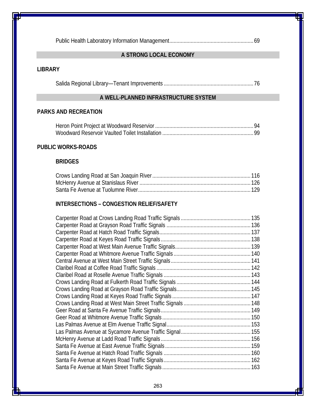|--|--|--|

#### **A STRONG LOCAL ECONOMY**

#### **LIBRARY**

Salida Regional Library—Tenant Improvements ...............................................................76

### **A WELL-PLANNED INFRASTRUCTURE SYSTEM**

#### **PARKS AND RECREATION**

#### **PUBLIC WORKS-ROADS**

#### **BRIDGES**

#### **INTERSECTIONS – CONGESTION RELIEF/SAFETY**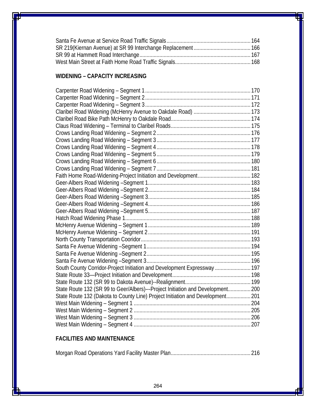### **WIDENING – CAPACITY INCREASING**

| South County Corridor-Project Initiation and Development Expressway  197        |  |
|---------------------------------------------------------------------------------|--|
|                                                                                 |  |
|                                                                                 |  |
| State Route 132 (SR 99 to Geer/Albers)---Project Initiation and Development 200 |  |
| State Route 132 (Dakota to County Line) Project Initiation and Development 201  |  |
|                                                                                 |  |
|                                                                                 |  |
|                                                                                 |  |
|                                                                                 |  |

### **FACILITIES AND MAINTENANCE**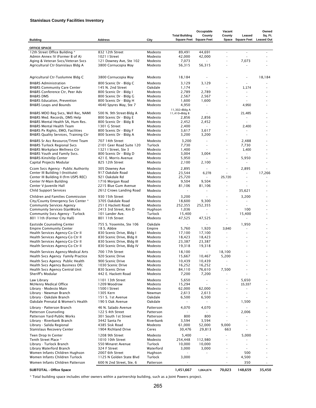|                                                                         |                                                  |                      | <b>Total Building</b>    | Occupiable<br>County           | Vacant<br>County                | Leased                            | Owned<br>Sq. Ft.  |
|-------------------------------------------------------------------------|--------------------------------------------------|----------------------|--------------------------|--------------------------------|---------------------------------|-----------------------------------|-------------------|
| <b>Building</b>                                                         | <b>Address</b>                                   | City                 |                          | <b>Square Feet Square Feet</b> |                                 | Space Square Feet                 | <b>Leased Out</b> |
| <b>OFFICE SPACE</b>                                                     |                                                  |                      |                          |                                |                                 |                                   |                   |
| 12th Street Office Building *                                           | 832 12th Street                                  | Modesto              | 89,491                   | 44,691                         | $\overline{\phantom{a}}$        | $\blacksquare$                    |                   |
| Admin Annex IV (Former B of A)                                          | 1021   Street                                    | Modesto              | 42,000                   | 42,000                         | ä,                              | ÷.                                | $\blacksquare$    |
| Aging & Veteran Svcs/Veteran Svcs<br>Agricultural Ctr-Stanislaus Bldg A | 121 Downey Ave, Ste 102                          | Modesto              | 7,073                    | $\blacksquare$<br>56,315       | ÷,                              | 7,073<br>٠                        |                   |
|                                                                         | 3800 Cornucopia Way                              | Modesto              | 56,315                   |                                |                                 |                                   |                   |
| Agricultural Ctr-Tuolumne Bldg C                                        | 3800 Cornucopia Way                              | Modesto              | 18,184                   | $\overline{\phantom{a}}$       |                                 | $\qquad \qquad \blacksquare$      | 18,184            |
| <b>BH&amp;RS Administration</b>                                         | 800 Scenic Dr - Bldg C                           | Modesto              | 3,129                    | 3,129                          |                                 |                                   |                   |
| <b>BH&amp;RS Community Care Center</b>                                  | 145 N. 2nd Street                                | Oakdale              | 1,174                    |                                | ÷,                              | 1,174                             |                   |
| BH&RS Conference Ctr, Peer Adv                                          | 800 Scenic Dr - Blda I                           | Modesto              | 2,789                    | 2,789                          | ÷,                              |                                   |                   |
| <b>BH&amp;RS DMS</b><br><b>BH&amp;RS Education, Prevention</b>          | 800 Scenic Dr - Bldg G<br>800 Scenic Dr - Bldg H | Modesto<br>Modesto   | 2,567<br>1,600           | 2,567<br>1,600                 | ä,<br>٠                         | $\overline{a}$<br>٠               | $\overline{a}$    |
| BH&RS Leaps and Bounds                                                  | 4640 Spyres Way, Ste 7                           | Modesto              | 4,950                    |                                | ÷,                              | 4,950                             |                   |
|                                                                         |                                                  |                      | 11,302=Bldg A            |                                |                                 |                                   |                   |
| BH&RS MDO Reg Svcs, Well Rec, NAMI                                      | 500 N. 9th Street-Bldg A                         | Modesto              | 11,410=Bldg B            |                                | ÷,                              | 21,485                            |                   |
| BH&RS Med. Records, DMS Help                                            | 800 Scenic Dr - Bldg E                           | Modesto<br>Modesto   | 2,856                    | 2,856                          | ÷,                              |                                   |                   |
| BH&RS Mental Health SA, Hum Res.<br><b>BH&amp;RS Mental Health Team</b> | 800 Scenic Dr - Bldg B<br>1301 G Street          | Modesto              | 2,452<br>2,400           | 2,452                          | ÷,                              | 2,400                             |                   |
| BH&RS Px Rights, EMO, Facilities                                        | 800 Scenic Dr - Bldg F                           | Modesto              | 3,617                    | 3,617                          | ÷,                              |                                   |                   |
| BH&RS Quality Services, Training Ctr                                    | 800 Scenic Dr - Bldg A                           | Modesto              | 3,200                    | 3,200                          | ÷,                              | $\blacksquare$                    |                   |
| BH&RS Sr Acc Resource/Trtmt Team                                        | 707 14th Street                                  | Modesto              | 3,200                    | $\overline{\phantom{a}}$       | ä,                              | 2,488                             |                   |
| <b>BH&amp;RS Turlock Regional Svcs</b>                                  | 2101 Geer Road Suite 120                         | Turlock              | 7,730                    | $\overline{\phantom{a}}$       | ÷,                              | 7,730                             |                   |
| <b>BH&amp;RS Workplace Wellness Ctr</b>                                 | 1321   Street, Ste 3                             | Modesto              | 1,400                    |                                | ÷,                              | 1,400                             |                   |
| BH&RS Youth and Family Svcs.<br>BH&RS-Kinshi0p Center                   | 800 Scenic Dr - Bldg D<br>421 E. Morris Avenue   | Modesto<br>Modesto   | 3,004<br>5,950           | 3,004<br>$\sim$                | ÷,<br>$\overline{\phantom{a}}$  | 5,950                             | ٠                 |
| Capital Projects Modular                                                | 825 12th Street                                  | Modesto              | 2,100                    | 2,100                          | ÷,                              |                                   |                   |
| Ccom Svcs Agency - Public Authority                                     | 305 Downey Ave                                   | Modesto              | 2,895                    |                                | $\blacksquare$                  | 2,895                             |                   |
| Center III Building I (Institute)                                       | 917 Oakdale Road                                 | Modesto              | 23,544                   | 6,278                          | $\sim$                          | ÷.                                | 17,266            |
| Center III Building II (frm USPS REC)                                   | 921 Oakdale Rd                                   | Modesto              | 25,720                   | $\sim$                         | 25,720                          | ٠                                 |                   |
| Center IV-Main Building                                                 | 1716 Morgan Road                                 | Modesto              | 9,504                    | 9,504                          | $\blacksquare$                  |                                   |                   |
| Center V-Juvenile Hall                                                  | 2215 Blue Gum Avenue                             | Modesto              | 81,106                   | 81,106                         | ÷,                              | ٠                                 |                   |
| <b>Child Support Services</b>                                           | 2612 Crows Landing Road                          | Modesto              | $\overline{\phantom{a}}$ | $\overline{\phantom{a}}$       | $\overline{\phantom{a}}$        | 35,621                            |                   |
| Children and Families Commission                                        | 930 15th Street<br>3705 Oakdale Road             | Modesto<br>Modesto   | 3,200<br>18,600          | $\mathbf{r}$<br>9,300          | $\overline{a}$                  | 3,200<br>$\overline{\phantom{a}}$ |                   |
| City/County Emergency Svs Center *<br><b>Community Services Agency</b>  | 251 E Hackett Road                               | Modesto              | 252,355                  | 252,355                        | ÷,                              | ÷.                                |                   |
| <b>Community Services-StanWorks</b>                                     | 2413 3rd Street, Rm D                            | Hughson              | 1,036                    |                                | L,                              | 100                               |                   |
| Community Svcs Agency - Turlock                                         | 101 Lander Ave.                                  | Turlock              | 15,400                   |                                | ÷,                              | 15,400                            |                   |
| 801 11th (Former City Hall)                                             | 801 11th Street                                  | Modesto              | 47,525                   | 47,525                         | ٠                               |                                   |                   |
| <b>Eastside Counseling Center</b>                                       | 755 S. Yosemite, Ste 106                         | Oakdale              | ÷.                       |                                |                                 | 1,950                             |                   |
| <b>Empire Community Center</b><br>Health Services Agency-Co Ctr II      | 18 S. Abbie<br>830 Scenic Drive, Bldg I          | Empire<br>Modesto    | 5,760<br>17,100          | 1,920<br>17,100                | 3,840                           |                                   |                   |
| Health Services Agency-Co Ctr II                                        | 830 Scenic Drive, Bldg II                        | Modesto              | 18,423                   | 18,423                         |                                 |                                   |                   |
| Health Services Agency-Co Ctr II                                        | 830 Scenic Drive, Bldg III                       | Modesto              | 23,387                   | 23,387                         | ٠                               |                                   |                   |
| Health Services Agency-Co Ctr II                                        | 830 Scenic Drive, Bldg IV                        | Modesto              | 19,318                   | 19,318                         | $\overline{a}$                  |                                   |                   |
| Health Services Agency-Medical Arts                                     | 700 17th Street                                  | Modesto              | 18,100                   | $\sim$                         | 18,100                          |                                   |                   |
| Health Svcs Agency Family Practice<br>Health Svcs Agency Public Health  | 920 Scenic Drive<br>900 Scenic Drive             | Modesto              | 15,667<br>10,439         | 10,467<br>10,439               | 5,200<br>÷,                     | ٠                                 |                   |
| Health Svcs Agency Business Ofc                                         | 1030 Scenic Drive                                | Modesto<br>Modesto   | 16,252                   | 16,252                         |                                 |                                   |                   |
| Health Svcs Agency Central Unit                                         | 830 Scenic Drive                                 | Modesto              | 84,110                   | 76,610                         | 7,500                           |                                   |                   |
| Sheriff's Modular                                                       | 442 E. Hackett Road                              | Modesto              | 7,200                    | 7,200                          | $\centering \label{eq:reduced}$ | $\overline{a}$                    |                   |
| Law Library                                                             | 1101 13th Street                                 | Modesto              | 5,650                    | $\overline{\phantom{a}}$       | $\blacksquare$                  | 5,650                             |                   |
| <b>McHenry Medical Office</b>                                           | 1209 Woodrow                                     | Modesto              | 15,294                   |                                |                                 | 15,337                            |                   |
| Library - Modesto Main<br>Library - Newman Branch                       | 1500   Street<br>1305 Kern                       | Modesto<br>Newman    | 62,000<br>2,613          | 62,000<br>2,613                | ä,                              | ÷,                                |                   |
| Library - Oakdale Branch                                                | 151 S. 1st Avenue                                | Oakdale              | 6,500                    | 6,500                          |                                 |                                   |                   |
| Oakdale Prenatal & Women's Health                                       | 190 S Oak Avenue                                 | Oakdale              |                          |                                | ÷,                              | 1,500                             |                   |
| Library - Patterson Branch                                              | 46 N. Salado Avenue                              | Patterson            | 4,070                    | 4,070                          |                                 |                                   |                   |
| <b>Patterson Counseling</b>                                             | 122 S 4th Street                                 | Patterson            |                          |                                | ä,                              | 2,006                             |                   |
| Patterson Yard-Public Works                                             | 301 South 1st Street                             | Patterson            | 800                      | 800                            | ä,                              |                                   |                   |
| Library - Riverbank Branch                                              | 3442 Santa Fe<br>4385 Sisk Road                  | Riverbank<br>Modesto | 3,594                    | 3,594                          | ä,                              |                                   |                   |
| Library - Salida Regional<br>Stanislaus Recovery Center                 | 1904 Richland Drive                              | Ceres                | 61,000<br>30,476         | 52,000<br>29,813               | 9,000<br>663                    | $\overline{a}$                    |                   |
| Teen Drop In Center                                                     | 1208 9th Street                                  | Modesto              | 5,400                    | $\overline{\phantom{a}}$       | $\blacksquare$                  | 5,000                             |                   |
| Tenth Street Place *                                                    | 1010 10th Street                                 | Modesto              | 254,448                  | 112,980                        | ÷,                              |                                   |                   |
| Library - Turlock Branch                                                | 550 Minaret Avenue                               | Turlock              | 10,000                   | 10,000                         |                                 |                                   |                   |
| Library Waterford Branch                                                | 324 F Street                                     | Waterford            | 3,000                    | 3,000                          | ÷,                              |                                   |                   |
| Women Infants Children Hughson<br>Women Infants Children Turlock        | 2007 6th Street<br>1125 N Golden State Blvd      | Hughson<br>Turlock   |                          | $\blacksquare$                 | ÷,                              | 500                               |                   |
|                                                                         |                                                  |                      | 3,000                    |                                |                                 | 4,500                             |                   |
| Women Infants Children Patterson                                        | 600 N 2nd Street, Ste. 6                         | Patterson            |                          |                                |                                 | 350                               |                   |

#### **SUBTOTAL - Office Space** 1,451,667 1,064,874 148,659 70,023 35,450

\* Total building space includes other owners within a partnership building, such as a Joint Powers project.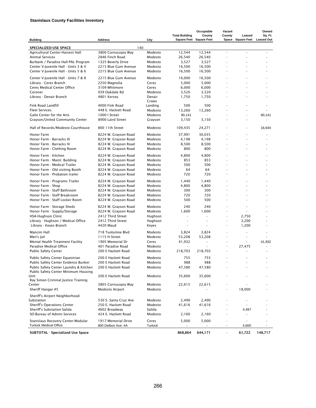| <b>Building</b>                                                                | <b>Address</b>        | City    | <b>Total Building</b> | Occupiable<br>County<br><b>Square Feet Square Feet</b> | Vacant<br>County         | Leased<br>Space Square Feet | Owned<br>Sq. Ft.<br><b>Leased Out</b> |
|--------------------------------------------------------------------------------|-----------------------|---------|-----------------------|--------------------------------------------------------|--------------------------|-----------------------------|---------------------------------------|
| <b>SPECIALIZED-USE SPACE</b>                                                   | 140                   |         |                       |                                                        |                          |                             |                                       |
| Agricultural Center-Harvest Hall                                               | 3800 Cornucopia Way   | Modesto | 12,544                | 12,544                                                 | ÷,                       |                             |                                       |
| <b>Animal Services</b>                                                         | 2846 Finch Road       | Modesto | 26,540                | 26,540                                                 | Ĭ.                       | ÷,                          | $\overline{\phantom{a}}$              |
| Burbank / Paradise Hall-PAL Program                                            | 1325 Beverly Drive    | Modesto | 3,527                 | 3,527                                                  |                          |                             |                                       |
| Center V-Juvenile Hall - Units 3 & 4                                           | 2215 Blue Gum Avenue  | Modesto | 16,500                | 16,500                                                 |                          |                             |                                       |
| Center V-Juvenile Hall - Units 5 & 6                                           | 2215 Blue Gum Avenue  | Modesto | 16,500                | 16,500                                                 |                          |                             |                                       |
| Center V-Juvenile Hall - Units 7 & 8                                           | 2215 Blue Gum Avenue  | Modesto | 16,000                | 16,500                                                 |                          |                             |                                       |
| Library - Ceres Branch                                                         | 2250 Magnolia         | Ceres   | 5,000                 | 5,000                                                  |                          |                             |                                       |
| Ceres Medical Center Office                                                    | 3109 Whitmore         | Ceres   | 6,000                 | 6,000                                                  |                          |                             |                                       |
| Coroner                                                                        | 939 Oakdale Rd        | Modesto | 3,520                 | 3,520                                                  |                          |                             |                                       |
| Library - Denair Branch                                                        | 4801 Kersey           | Denair  | 1,750                 | 1,750                                                  |                          |                             |                                       |
|                                                                                | 4000 Fink Road        | Crows   |                       | 500                                                    |                          |                             |                                       |
| Fink Road Landfill                                                             |                       | Landing | 500                   |                                                        |                          |                             | $\overline{a}$                        |
| <b>Fleet Services</b>                                                          | 448 E. Hackett Road   | Modesto | 13,260                | 13,260<br>÷.                                           |                          |                             |                                       |
| Gallo Center for the Arts                                                      | 1000   Street         | Modesto | 90,141                |                                                        |                          |                             | 90,141                                |
| Grayson/United Community Center                                                | 8900 Laird Street     | Grayson | 3,150                 | 3,150                                                  |                          |                             |                                       |
| Hall of Records/Modesto Courthouse                                             | 800 11th Street       | Modesto | 109,435               | 24,271                                                 |                          | ٠                           | 16,644                                |
| <b>Honor Farm</b>                                                              | 8224 W. Grayson Road  | Modesto | 37,991                | 30,035                                                 |                          | Ĭ.                          |                                       |
| Honor Farm - Barracks III                                                      | 8224 W. Grayson Road  | Modesto | 4,198                 | 4,198                                                  |                          |                             |                                       |
| Honor Farm - Barracks IV                                                       | 8224 W. Grayson Road  | Modesto | 8,500                 | 8,500                                                  |                          | Ĭ.                          |                                       |
| Honor Farm - Clothing Room                                                     | 8224 W. Grayson Road  | Modesto | 800                   | 800                                                    |                          |                             |                                       |
| Honor Farm - Kitchen                                                           | 8224 W. Grayson Road  | Modesto | 4,800                 | 4,800                                                  |                          |                             |                                       |
| Honor Farm - Maint. Building                                                   | 8224 W. Grayson Road  | Modesto | 853                   | 853                                                    |                          |                             |                                       |
| Honor Farm - Medical Trailer                                                   | 8224 W. Grayson Road  | Modesto | 500                   | 500                                                    |                          |                             |                                       |
| Honor Farm - Old visiting Booth                                                | 8224 W. Grayson Road  | Modesto | 64                    | 64                                                     |                          |                             |                                       |
| Honor Farm - Probation trailer                                                 | 8224 W. Grayson Road  | Modesto | 720                   | 720                                                    |                          |                             |                                       |
| Honor Farm - Programs Trailer                                                  | 8224 W. Grayson Road  | Modesto | 1,440                 | 1,440                                                  |                          |                             |                                       |
| Honor Farm - Shop                                                              | 8224 W. Grayson Road  | Modesto | 4,800                 | 4,800                                                  |                          |                             |                                       |
| Honor Farm - Staff Bathroom                                                    | 8224 W. Grayson Road  | Modesto | 300                   | 300                                                    |                          |                             |                                       |
| Honor Farm - Staff Breakroom                                                   | 8224 W. Grayson Road  | Modesto | 720                   | 720                                                    |                          |                             |                                       |
| Honor Farm - Staff Locker Room                                                 | 8224 W. Grayson Road  | Modesto | 500                   | 500                                                    |                          | $\overline{\phantom{a}}$    | $\overline{\phantom{a}}$              |
| Honor Farm - Storage Sheds                                                     | 8224 W. Grayson Road  | Modesto | 240                   | 240                                                    |                          | ٠                           |                                       |
| Honor Farm - Supply/Storage                                                    | 8224 W. Grayson Road  | Modesto | 1,600                 | 1,600                                                  |                          | ٠                           |                                       |
| <b>HSA-Hughson Clinic</b>                                                      | 2412 Third Street     | Hughson | $\overline{a}$        | $\overline{a}$                                         | $\sim$                   | 2,750                       |                                       |
| Library - Hughson / Medical Office                                             | 2412 Third Street     | Hughson | $\tilde{\phantom{a}}$ | $\overline{a}$                                         | $\blacksquare$           | 3,200                       | $\overline{a}$                        |
| Library - Keyes Branch                                                         | 4420 Maud             | Keyes   | ÷,                    | $\overline{a}$                                         | ÷,                       | 1,200                       |                                       |
| Mancini Hall                                                                   | 718 Tuolumne Blvd     | Modesto | 3,824                 | 3,824                                                  | ä,                       | ٠                           |                                       |
| Men's Jail                                                                     | 1115 H Street         | Modesto | 53,208                | 53,208                                                 | ä,                       | $\blacksquare$              |                                       |
| Mental Health Treatment Facility                                               | 1905 Memorial Dr      | Ceres   | 41,932                | $\overline{\phantom{a}}$                               |                          | ٠                           | 41,932                                |
| Paradise Medical Office                                                        | 401 Paradise Road     | Modesto | ä,                    |                                                        | ÷,                       | 27,475                      |                                       |
| <b>Public Safety Center</b>                                                    | 200 E Hackett Road    | Modesto | 218,703               | 218,703                                                |                          |                             |                                       |
| Public Safety Center Equestrian                                                | 200 E Hackett Road    | Modesto | 755                   | 755                                                    |                          |                             |                                       |
| Public Safety Center Evidence Bunker                                           | 200 E Hackett Road    | Modesto | 988                   | 988                                                    |                          |                             |                                       |
| Public Safety Center Laundry & Kitchen<br>Public Safety Center Minimum Housing | 200 E Hackett Road    | Modesto | 47,580                | 47,580                                                 |                          |                             |                                       |
| Unit<br>Ray Simon Criminal Justice Training                                    | 200 E Hackett Road    | Modesto | 35,600                | 35,600                                                 |                          |                             |                                       |
| Center                                                                         | 3805 Cornucopia Way   | Modesto | 22,615                | 22,615                                                 |                          |                             |                                       |
| Sheriff Hangar #5                                                              | Modesto Airport       | Modesto |                       |                                                        | $\blacksquare$           | 18,000                      |                                       |
| Sheriff's Airport Neighborhood                                                 |                       |         |                       |                                                        |                          |                             |                                       |
| Substation                                                                     | 530 S. Santa Cruz Ave | Modesto | 2,490                 | 2,490                                                  |                          |                             |                                       |
| Sheriff's Operations Center                                                    | 250 E. Hackett Road   | Modesto | 41,616                | 41,616                                                 |                          |                             |                                       |
| Sheriff's Substation-Salida                                                    | 4602 Broadway         | Salida  |                       |                                                        |                          | 4,497                       |                                       |
| SO-Bureau of Admin Services                                                    | 424 E. Hackett Road   | Modesto | 2,160                 | 2,160                                                  | ÷,                       |                             |                                       |
| Stanislaus Recovery Center-Modular                                             | 1917 Memorial Drive   | Ceres   | 5,000                 | 5,000                                                  |                          |                             |                                       |
| <b>Turlock Medical Office</b>                                                  | 800 Delbon Ave. #A    | Turlock |                       |                                                        | Ĭ.                       | 4,600                       |                                       |
| SUBTOTAL - Specialized Use Space                                               |                       |         | 868,864               | 644,171                                                | $\overline{\phantom{a}}$ | 61,722                      | 148,717                               |

266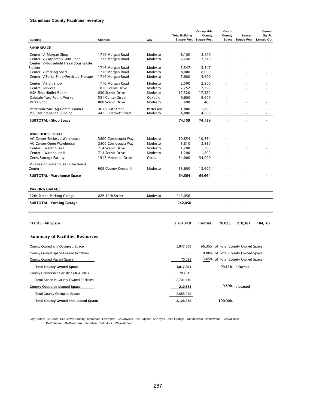| <b>Building</b>                                                                                 | Address                                                   | City                          | <b>Total Building</b><br><b>Square Feet</b> | Occupiable<br>County<br><b>Square Feet</b> | Vacant<br>County | Leased<br>Space Square Feet        | Owned<br>Sq. Ft.<br><b>Leased Out</b> |
|-------------------------------------------------------------------------------------------------|-----------------------------------------------------------|-------------------------------|---------------------------------------------|--------------------------------------------|------------------|------------------------------------|---------------------------------------|
| <b>SHOP SPACE</b>                                                                               |                                                           |                               |                                             |                                            |                  |                                    |                                       |
| Center IV- Morgan Shop<br>Center IV-Carpenter/Paint Shop<br>Center IV-Household Hazardous Waste | 1716 Morgan Road<br>1716 Morgan Road                      | Modesto<br>Modesto            | 8,100<br>2,740                              | 8,100<br>2,740                             | ÷,               |                                    |                                       |
| Station<br>Center IV-Parking Shed                                                               | 1716 Morgan Road<br>1716 Morgan Road                      | Modesto<br>Modesto            | 5,547<br>8,000                              | 5,547<br>8,000                             |                  |                                    |                                       |
| Center IV-Parks Shop/Pesticide Storage                                                          | 1716 Morgan Road                                          | Modesto                       | 5,600                                       | 5,600                                      |                  |                                    |                                       |
| Center IV-Sign Shop<br><b>Central Services</b><br>HSA Shop/Boiler Room                          | 1716 Morgan Road<br>1018 Scenic Drive<br>830 Scenic Drive | Modesto<br>Modesto<br>Modesto | 2,500<br>7,752<br>17,320                    | 2,500<br>7,752<br>17,320                   |                  |                                    |                                       |
| Oakdale Yard-Public Works<br>Parks Shop                                                         | 551 Center Street<br>800 Scenic Drive                     | Oakdale<br>Modesto            | 9,600<br>400                                | 9,600<br>400                               |                  |                                    |                                       |
| Patterson Yard-Ag Commissioner<br>PSC- Maintenance Building                                     | 301 S 1st Street<br>442 E. Hackett Road                   | Patterson<br>Modesto          | 1,800<br>4,800                              | 1,800<br>4,800                             |                  |                                    |                                       |
| <b>SUBTOTAL - Shop Space</b>                                                                    |                                                           |                               | 74,159                                      | 74,159                                     |                  |                                    |                                       |
| <b>WAREHOUSE SPACE</b>                                                                          |                                                           |                               |                                             |                                            |                  |                                    |                                       |
| AG Center-Enclosed Warehouse<br>AG Center-Open Warehouse                                        | 3800 Cornucopia Way<br>3800 Cornucopia Way                | Modesto<br>Modesto            | 10,854<br>3,810                             | 10,854<br>3,810                            |                  |                                    |                                       |
| Center II Warehouse I<br>Center II Warehouse II                                                 | 714 Scenic Drive<br>714 Scenic Drive                      | Modesto<br>Modesto            | 1,200<br>1,200                              | 1,200<br>1,200                             |                  |                                    |                                       |
| Ceres Storage Facility                                                                          | 1917 Memorial Drive                                       | Ceres                         | 34,000                                      | 34,000                                     |                  |                                    |                                       |
| Purchasing Warehouse I (Elections)<br>Center III                                                | 909 County Center III                                     | Modesto                       | 13,600                                      | 13,600                                     | ٠                |                                    |                                       |
| SUBTOTAL - Warehouse Space                                                                      |                                                           |                               | 64,664                                      | 64,664                                     |                  |                                    |                                       |
| <b>PARKING GARAGE</b>                                                                           |                                                           |                               |                                             |                                            |                  |                                    |                                       |
| 12th Street Parking Garage                                                                      | 826 12th Street                                           | Modesto                       | 242,056                                     |                                            |                  | $\blacksquare$                     |                                       |
| <b>SUBTOTAL - Parking Garage</b>                                                                |                                                           |                               | 242,056                                     |                                            |                  |                                    |                                       |
| <b>TOTAL - All Space</b>                                                                        |                                                           |                               | 2,701,410                                   | 1,847,868                                  | 70,023           | 210,381                            | 184,167                               |
| <b>Summary of Facilities Resources</b>                                                          |                                                           |                               |                                             |                                            |                  |                                    |                                       |
| County Owned and Occupied Space                                                                 |                                                           |                               | 1,847,868                                   |                                            |                  | 96.35% of Total County Owned Space |                                       |
| County Owned Space Leased to Others                                                             |                                                           |                               |                                             |                                            |                  | 0.00% of Total County Owned Space  |                                       |
| County Owned Vacant Space                                                                       |                                                           |                               | 70,023                                      |                                            |                  | 3.65% of Total County Owned Space  |                                       |
| <b>Total County Owned Space</b>                                                                 |                                                           |                               | 1,917,891                                   |                                            |                  | 90.11% is Owned                    |                                       |
| County Partnership Facilities (JPA, etc.)                                                       |                                                           |                               | 783,519                                     |                                            |                  |                                    |                                       |
| <b>Total Space in County Owned Facilities</b>                                                   |                                                           |                               | 2,701,410                                   |                                            |                  |                                    |                                       |
| <b>County Occupied Leased Space</b>                                                             |                                                           |                               | 210,381                                     |                                            |                  | 9.89% is Leased                    |                                       |
| <b>Total County Occupied Space</b>                                                              |                                                           |                               | 2,058,249                                   |                                            |                  |                                    |                                       |
| <b>Total County Owned and Leased Space</b>                                                      |                                                           |                               | 2,128,272                                   |                                            | 100.00%          |                                    |                                       |

City Codes: C=Ceres CL=Crows Landing D=Denair E=Empire G=Grayson H=Hughson K=Keyes L=La Grange M=Modesto n=Newman O=Oakdale P=Patterson R=Riverbank S=Salida T=Turlock W=Waterford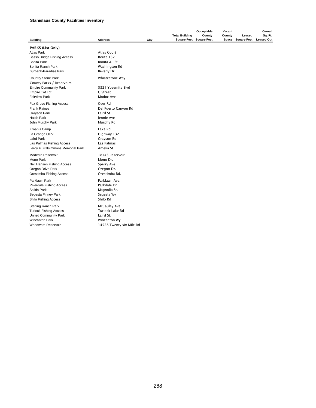|                                                                                                                                                                |                                                                                                        |      | <b>Total Building</b><br><b>Square Feet</b> | Occupiable<br>County<br><b>Square Feet</b> | Vacant<br>County<br>Space | Leased<br><b>Square Feet</b> | Owned<br>Sq. Ft.<br><b>Leased Out</b> |
|----------------------------------------------------------------------------------------------------------------------------------------------------------------|--------------------------------------------------------------------------------------------------------|------|---------------------------------------------|--------------------------------------------|---------------------------|------------------------------|---------------------------------------|
| <b>Building</b>                                                                                                                                                | Address                                                                                                | City |                                             |                                            |                           |                              |                                       |
| <b>PARKS (List Only)</b><br><b>Atlas Park</b><br><b>Basso Bridge Fishing Access</b><br><b>Bonita Park</b><br>Bonita Ranch Park<br><b>Burbank-Paradise Park</b> | Atlas Court<br>Route 132<br>Bonita & I St<br>Washington Rd<br>Beverly Dr.                              |      |                                             |                                            |                           |                              |                                       |
| <b>Country Stone Park</b><br>County Parks / Reservoirs<br><b>Empire Community Park</b><br><b>Empire Tot Lot</b><br><b>Fairview Park</b>                        | Whiatestone Way<br>5321 Yosemite Blvd<br>G Street<br>Modoc Ave                                         |      |                                             |                                            |                           |                              |                                       |
| Fox Grove Fishing Access<br><b>Frank Raines</b><br>Grayson Park<br>Hatch Park<br>John Murphy Park                                                              | Geer Rd<br>Del Puerto Canyon Rd<br>Laird St.<br>Jennie Ave<br>Murphy Rd.                               |      |                                             |                                            |                           |                              |                                       |
| Kiwanis Camp<br>La Grange OHV<br>Laird Park<br>Las Palmas Fishing Access<br>Leroy F. Fiztsimmons Memorial Park                                                 | Lake Rd<br>Highway 132<br>Grayson Rd<br>Las Palmas<br>Amelia St                                        |      |                                             |                                            |                           |                              |                                       |
| Modesto Reservoir<br>Mono Park<br>Neil Hansen Fishing Access<br>Oregon Drive Park<br>Orestimba Fishing Access                                                  | 18143 Reservoir<br>Mono Dr.<br>Sperry Ave<br>Oregon Dr.<br>Orestimba Rd.                               |      |                                             |                                            |                           |                              |                                       |
| Parklawn Park<br><b>Riverdale Fishing Access</b><br>Salida Park<br>Segesta Finney Park<br>Shilo Fishing Access                                                 | Parklawn Ave.<br>Parkdale Dr.<br>Magnolia St.<br>Segesta Wy<br>Shilo Rd                                |      |                                             |                                            |                           |                              |                                       |
| Sterling Ranch Park<br><b>Turlock Fishing Access</b><br>United Community Park<br><b>Wincanton Park</b><br><b>Woodward Reservoir</b>                            | <b>McCauley Ave</b><br><b>Turlock Lake Rd</b><br>Laird St.<br>Wincanton Wy<br>14528 Twenty six Mile Rd |      |                                             |                                            |                           |                              |                                       |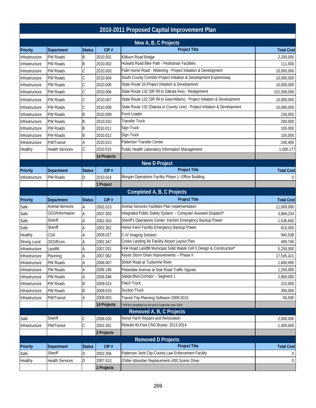#### **Priority Department Status CIP # Project Title Total Cost** Infrastructure PW Roads B 2010.001 Killburn Road Bridge 2,200,000 PM 2,200,000 Infrastructure PW Roads B 2010.002 Howard Road Bike Path - Pedestrian Facilities 111,000 111,000 Infrastructure PW Roads C 2010.003 Faith Home Road - Widening - Project Initiation & Development 10,000,000 Infrastructure PW Roads C 2010.004 South County Corridor-Project Initiation & Development-Expressway | 10,000,000 Infrastructure PW Roads C 2010.005 State Route 33-Project Initiation & Development 10,000,000 10,000,000 Infrastructure PW Roads C 2010.006 State Route 132 (SR 99 to Dakota Ave) - Realignment 101,000,000 Infrastructure PW Roads C 2010.007 State Route 132 (SR 99 to Geer/Albers) - Project Initiation & Development 10,000,000 Infrastructure PW Roads C 2010.008 State Route 132 (Dakota to County Line) - Project Initiation & Development 10,000,000 Infrastructure PW Roads B 2010.009 Front Loader 230,000 Protocom 230,000 Infrastructure PW Roads B 2010.010 Transfer Truck 200,000 PM 200,000 PM 200,000 PM 200,000 PM 200,000 PM 200,000 Infrastructure PW Roads B 2010.011 Sign Truck 105,000 (Sign Truck 105,000 ) Infrastructure PW Roads B 2010.012 Sign Truck 105,000 (Sign Truck 105,000 ) Infrastructure PW/Transit A 2010.013 Patterson Transfer Center 245,495 Healthy |Health Services | 2010.015 Public Health Laboratory Information Management 1,000,177 **14 Projects Priority Department Status CIP # Project Title Total Cost** Infrastructure PW Roads D 2010.014 Morgan Operations Facility Phase 1--Office Building 2001 10 0 0 0 0 0 0 0 0 **1 Project Priority Department Status CIP # Project Title Total Cost** Safe Animal Services A 2002.013 Animal Services Facilities Plan Implementation 11,000,000 11,000,000 Safe CEO/Information A 2007.003 Integrated Public Safety System -- Computer Assisted Dispatch\* 3,884,234 Safe Sheriff Sheriff Sherich A 2002.353 Sheriff's Operations Center, Kitchen Emergency Backup Power 1,536,600 Safe Sheriff A 2002.352 Honor Farm Facility Emergency Backup Power Sheriff Sheriff 610,000 Healthy  $\vert$ CSA  $\vert$ A 2009.027 C-IV Imaging Solution 940,538 Proposed by the 940,538 Strong Local CEO/Econ. A 2002.347 Crows Landing Air Facility Airport Layout Plan 499,740 Infrastructure Landfill Mandiell A 2007.031 Fink Road Landfill Municipal Solid Waste Cell 5 Design & Construction\* 1 5,250,000 Infrastructure Planning A 2007.062 Keyes Storm Drain Improvements -- Phase II 17,545,421 Infrastructure PW Roads A 2006.007 Shiloh Road at Tuolumne River 1,600,000 nm and 1,600,000 Infrastructure PW Roads A 2006.196 Pelandale Avenue at Sisk Road Traffic Signals 1,250,000 1,250,000 Infrastructure PW Roads A 2006.046 Salida Blvd Corridor -- Segment 1 2,800,000 PM 2,800,000 Infrastructure PW Roads B 2009.014 Patch Truck 215,000 Infrastructure PW Roads B 2009.018 Suction Truck 350,000 Infrastructure PW/Transit A 2009.003 Transit Trip Planning Software 2009-2010 Channel Communisty S0,000 14 Projects \\*\ Will be completed by the end of calendar year 2010. Safe Sheriff Sheriff Sheriff (2009.026 Honor Farm Repairs and Renovation 2,000.000 November 2,000.000 Infrastructure PW/Transit C 2002.261 Rebuild 40-Foot CNG Buses: 2013-2014 1,400,000 **2 Projects Priority Department Status CIP # Project Title Total Cost** Safe Sheriff Sheriff Sheriff D 2002.356 Patterson Joint City-County Law Enforcement Facility County Law Enforcement Facility Healthy Health Services D 2007.013 Chiller Absorber Replacement--830 Scenic Drive 0 **2 Projects Removed A, B, C Projects 2010-2011 Proposed Capital Improvement Plan New A, B, C Projects Completed A, B, C Projects New D Project Removed D Projects**